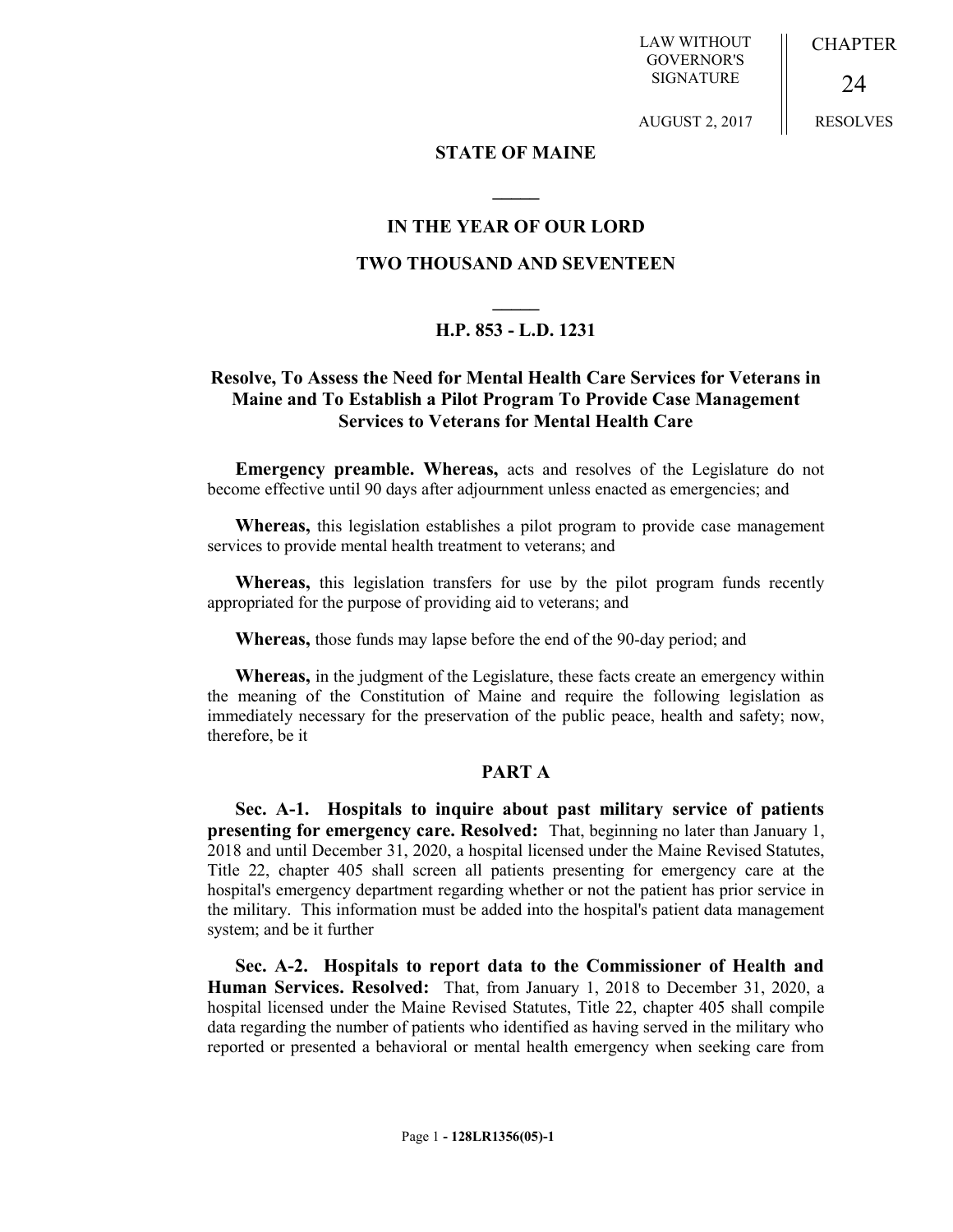**CHAPTER** 

LAW WITHOUT GOVERNOR'S SIGNATURE

RESOLVES

24

# AUGUST 2, 2017

### **STATE OF MAINE**

**\_\_\_\_\_**

## **IN THE YEAR OF OUR LORD**

#### **TWO THOUSAND AND SEVENTEEN**

# **\_\_\_\_\_ H.P. 853 - L.D. 1231**

### **Resolve, To Assess the Need for Mental Health Care Services for Veterans in Maine and To Establish a Pilot Program To Provide Case Management Services to Veterans for Mental Health Care**

**Emergency preamble. Whereas,** acts and resolves of the Legislature do not become effective until 90 days after adjournment unless enacted as emergencies; and

**Whereas,** this legislation establishes a pilot program to provide case management services to provide mental health treatment to veterans; and

**Whereas,** this legislation transfers for use by the pilot program funds recently appropriated for the purpose of providing aid to veterans; and

**Whereas,** those funds may lapse before the end of the 90-day period; and

**Whereas,** in the judgment of the Legislature, these facts create an emergency within the meaning of the Constitution of Maine and require the following legislation as immediately necessary for the preservation of the public peace, health and safety; now, therefore, be it

#### **PART A**

**Sec. A-1. Hospitals to inquire about past military service of patients presenting for emergency care. Resolved:** That, beginning no later than January 1, 2018 and until December 31, 2020, a hospital licensed under the Maine Revised Statutes, Title 22, chapter 405 shall screen all patients presenting for emergency care at the hospital's emergency department regarding whether or not the patient has prior service in the military. This information must be added into the hospital's patient data management system; and be it further

**Sec. A-2. Hospitals to report data to the Commissioner of Health and Human Services. Resolved:** That, from January 1, 2018 to December 31, 2020, a hospital licensed under the Maine Revised Statutes, Title 22, chapter 405 shall compile data regarding the number of patients who identified as having served in the military who reported or presented a behavioral or mental health emergency when seeking care from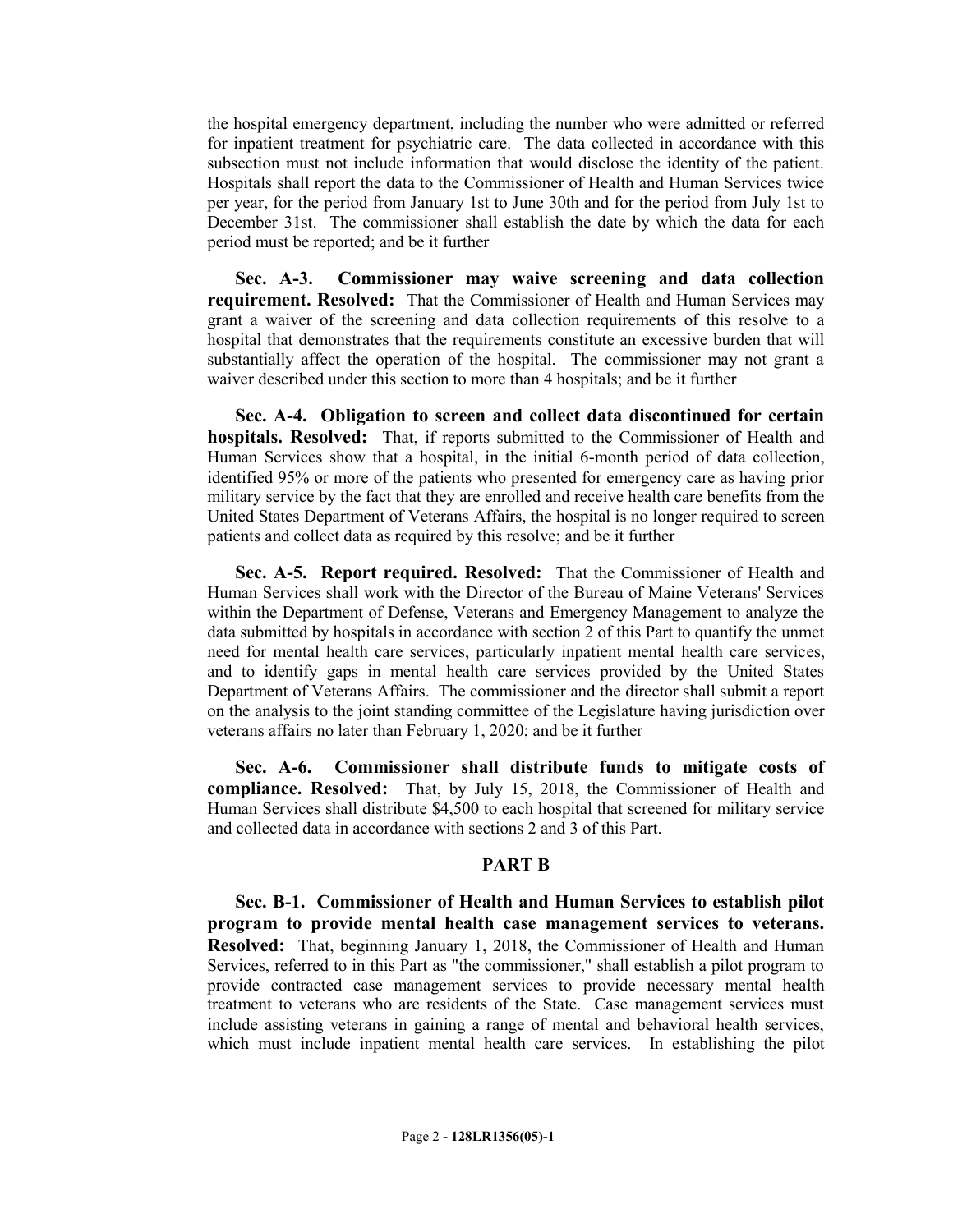the hospital emergency department, including the number who were admitted or referred for inpatient treatment for psychiatric care. The data collected in accordance with this subsection must not include information that would disclose the identity of the patient. Hospitals shall report the data to the Commissioner of Health and Human Services twice per year, for the period from January 1st to June 30th and for the period from July 1st to December 31st. The commissioner shall establish the date by which the data for each period must be reported; and be it further

**Sec. A-3. Commissioner may waive screening and data collection requirement. Resolved:** That the Commissioner of Health and Human Services may grant a waiver of the screening and data collection requirements of this resolve to a hospital that demonstrates that the requirements constitute an excessive burden that will substantially affect the operation of the hospital. The commissioner may not grant a waiver described under this section to more than 4 hospitals; and be it further

**Sec. A-4. Obligation to screen and collect data discontinued for certain hospitals. Resolved:** That, if reports submitted to the Commissioner of Health and Human Services show that a hospital, in the initial 6-month period of data collection, identified 95% or more of the patients who presented for emergency care as having prior military service by the fact that they are enrolled and receive health care benefits from the United States Department of Veterans Affairs, the hospital is no longer required to screen patients and collect data as required by this resolve; and be it further

**Sec. A-5. Report required. Resolved:** That the Commissioner of Health and Human Services shall work with the Director of the Bureau of Maine Veterans' Services within the Department of Defense, Veterans and Emergency Management to analyze the data submitted by hospitals in accordance with section 2 of this Part to quantify the unmet need for mental health care services, particularly inpatient mental health care services, and to identify gaps in mental health care services provided by the United States Department of Veterans Affairs. The commissioner and the director shall submit a report on the analysis to the joint standing committee of the Legislature having jurisdiction over veterans affairs no later than February 1, 2020; and be it further

**Sec. A-6. Commissioner shall distribute funds to mitigate costs of compliance. Resolved:** That, by July 15, 2018, the Commissioner of Health and Human Services shall distribute \$4,500 to each hospital that screened for military service and collected data in accordance with sections 2 and 3 of this Part.

### **PART B**

**Sec. B-1. Commissioner of Health and Human Services to establish pilot program to provide mental health case management services to veterans. Resolved:** That, beginning January 1, 2018, the Commissioner of Health and Human Services, referred to in this Part as "the commissioner," shall establish a pilot program to provide contracted case management services to provide necessary mental health treatment to veterans who are residents of the State. Case management services must include assisting veterans in gaining a range of mental and behavioral health services, which must include inpatient mental health care services. In establishing the pilot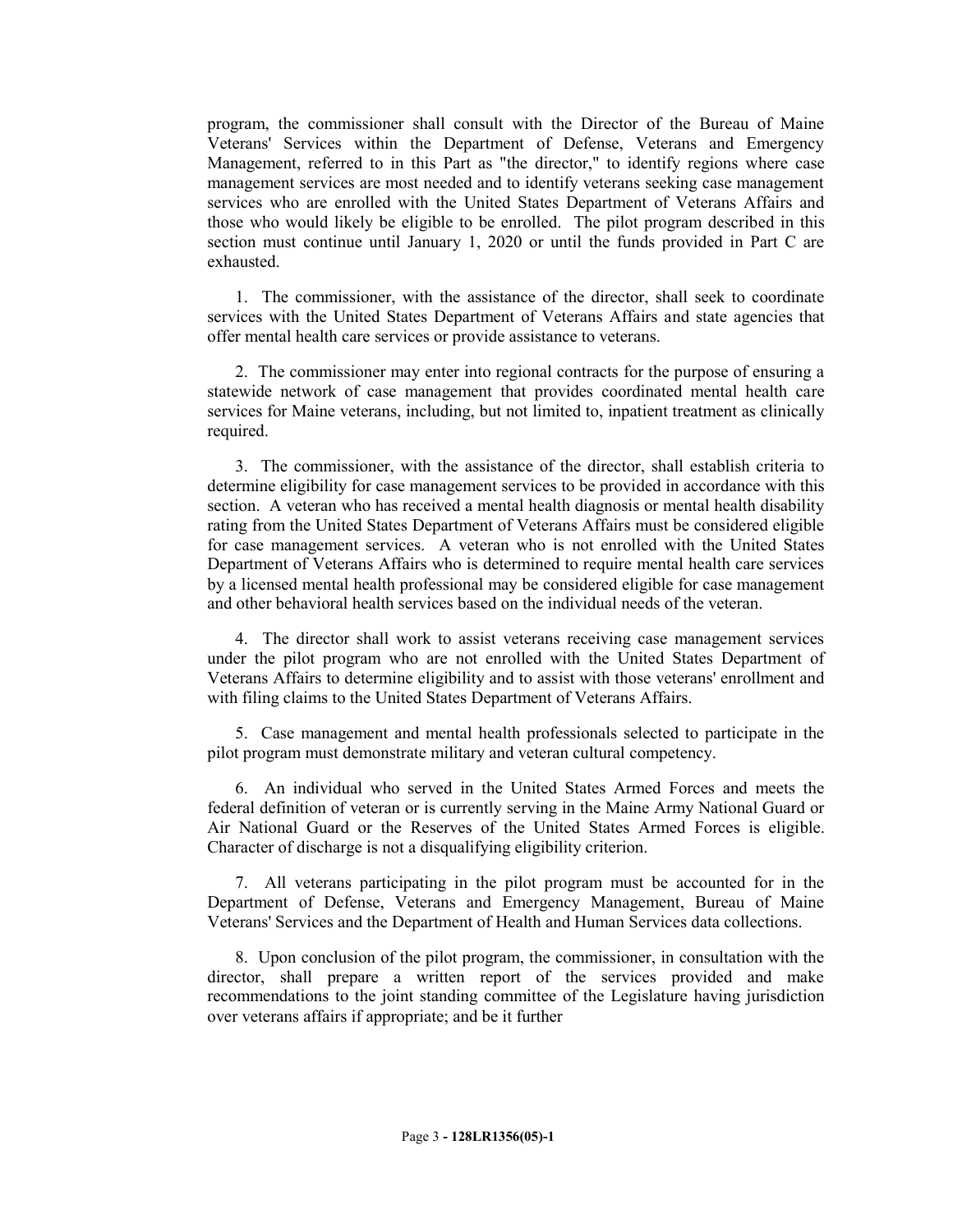program, the commissioner shall consult with the Director of the Bureau of Maine Veterans' Services within the Department of Defense, Veterans and Emergency Management, referred to in this Part as "the director," to identify regions where case management services are most needed and to identify veterans seeking case management services who are enrolled with the United States Department of Veterans Affairs and those who would likely be eligible to be enrolled. The pilot program described in this section must continue until January 1, 2020 or until the funds provided in Part C are exhausted.

1. The commissioner, with the assistance of the director, shall seek to coordinate services with the United States Department of Veterans Affairs and state agencies that offer mental health care services or provide assistance to veterans.

2. The commissioner may enter into regional contracts for the purpose of ensuring a statewide network of case management that provides coordinated mental health care services for Maine veterans, including, but not limited to, inpatient treatment as clinically required.

3. The commissioner, with the assistance of the director, shall establish criteria to determine eligibility for case management services to be provided in accordance with this section. A veteran who has received a mental health diagnosis or mental health disability rating from the United States Department of Veterans Affairs must be considered eligible for case management services. A veteran who is not enrolled with the United States Department of Veterans Affairs who is determined to require mental health care services by a licensed mental health professional may be considered eligible for case management and other behavioral health services based on the individual needs of the veteran.

4. The director shall work to assist veterans receiving case management services under the pilot program who are not enrolled with the United States Department of Veterans Affairs to determine eligibility and to assist with those veterans' enrollment and with filing claims to the United States Department of Veterans Affairs.

5. Case management and mental health professionals selected to participate in the pilot program must demonstrate military and veteran cultural competency.

6. An individual who served in the United States Armed Forces and meets the federal definition of veteran or is currently serving in the Maine Army National Guard or Air National Guard or the Reserves of the United States Armed Forces is eligible. Character of discharge is not a disqualifying eligibility criterion.

7. All veterans participating in the pilot program must be accounted for in the Department of Defense, Veterans and Emergency Management, Bureau of Maine Veterans' Services and the Department of Health and Human Services data collections.

8. Upon conclusion of the pilot program, the commissioner, in consultation with the director, shall prepare a written report of the services provided and make recommendations to the joint standing committee of the Legislature having jurisdiction over veterans affairs if appropriate; and be it further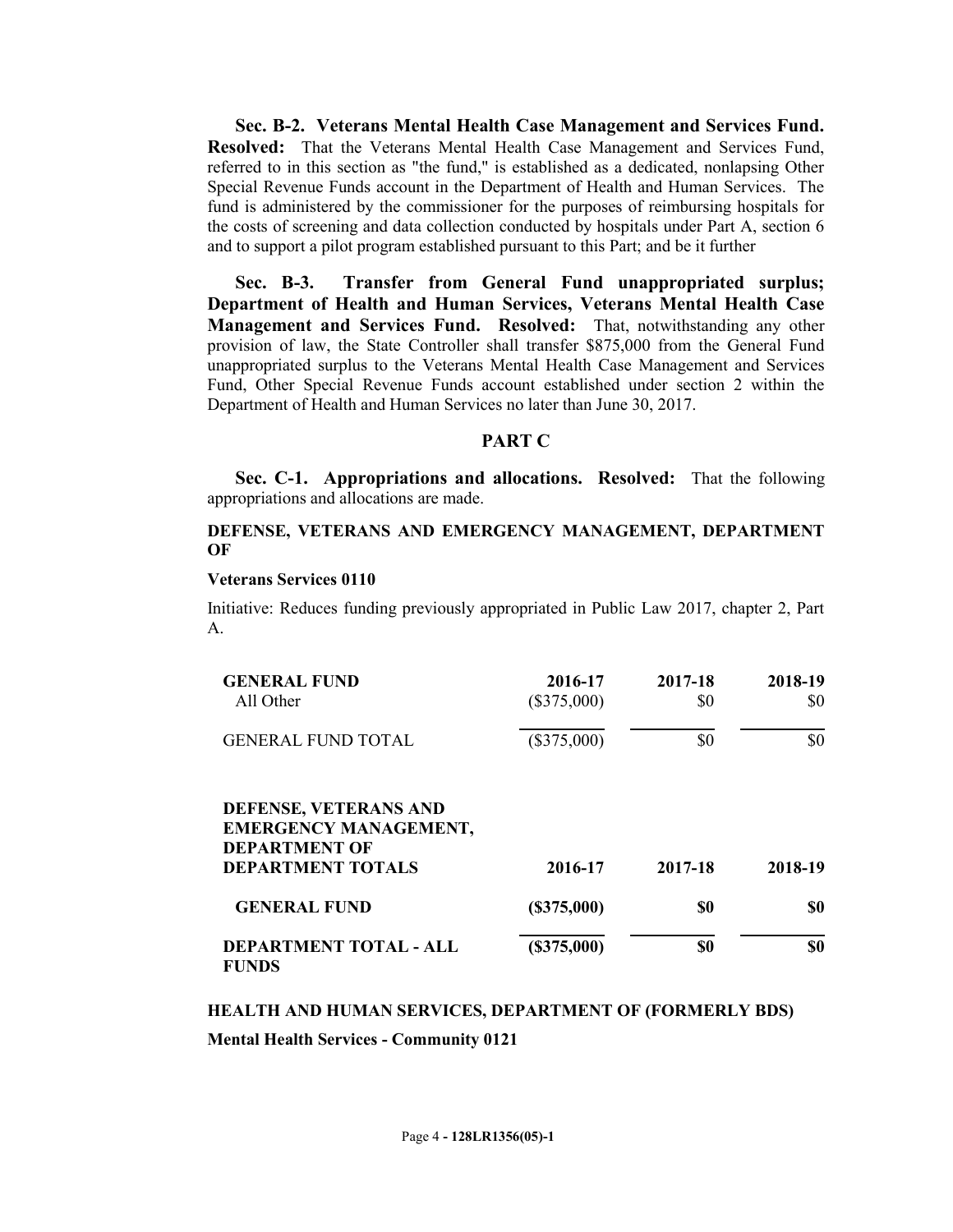**Sec. B-2. Veterans Mental Health Case Management and Services Fund. Resolved:** That the Veterans Mental Health Case Management and Services Fund, referred to in this section as "the fund," is established as a dedicated, nonlapsing Other Special Revenue Funds account in the Department of Health and Human Services. The fund is administered by the commissioner for the purposes of reimbursing hospitals for the costs of screening and data collection conducted by hospitals under Part A, section 6 and to support a pilot program established pursuant to this Part; and be it further

**Sec. B-3. Transfer from General Fund unappropriated surplus; Department of Health and Human Services, Veterans Mental Health Case Management and Services Fund. Resolved:** That, notwithstanding any other provision of law, the State Controller shall transfer \$875,000 from the General Fund unappropriated surplus to the Veterans Mental Health Case Management and Services Fund, Other Special Revenue Funds account established under section 2 within the Department of Health and Human Services no later than June 30, 2017.

### **PART C**

**Sec. C-1. Appropriations and allocations. Resolved:** That the following appropriations and allocations are made.

### **DEFENSE, VETERANS AND EMERGENCY MANAGEMENT, DEPARTMENT OF**

#### **Veterans Services 0110**

Initiative: Reduces funding previously appropriated in Public Law 2017, chapter 2, Part A.

| <b>GENERAL FUND</b><br>All Other                                                                          | 2016-17<br>$(\$375,000)$ | 2017-18<br>\$0 | 2018-19<br>\$0 |
|-----------------------------------------------------------------------------------------------------------|--------------------------|----------------|----------------|
| <b>GENERAL FUND TOTAL</b>                                                                                 | $(\$375,000)$            | \$0            | \$0            |
| DEFENSE, VETERANS AND<br><b>EMERGENCY MANAGEMENT,</b><br><b>DEPARTMENT OF</b><br><b>DEPARTMENT TOTALS</b> | 2016-17                  | 2017-18        | 2018-19        |
| <b>GENERAL FUND</b>                                                                                       | (S375,000)               | \$0            | \$0            |
| <b>DEPARTMENT TOTAL - ALL</b><br><b>FUNDS</b>                                                             | (\$375,000)              | \$0            | \$0            |

#### **HEALTH AND HUMAN SERVICES, DEPARTMENT OF (FORMERLY BDS)**

**Mental Health Services - Community 0121**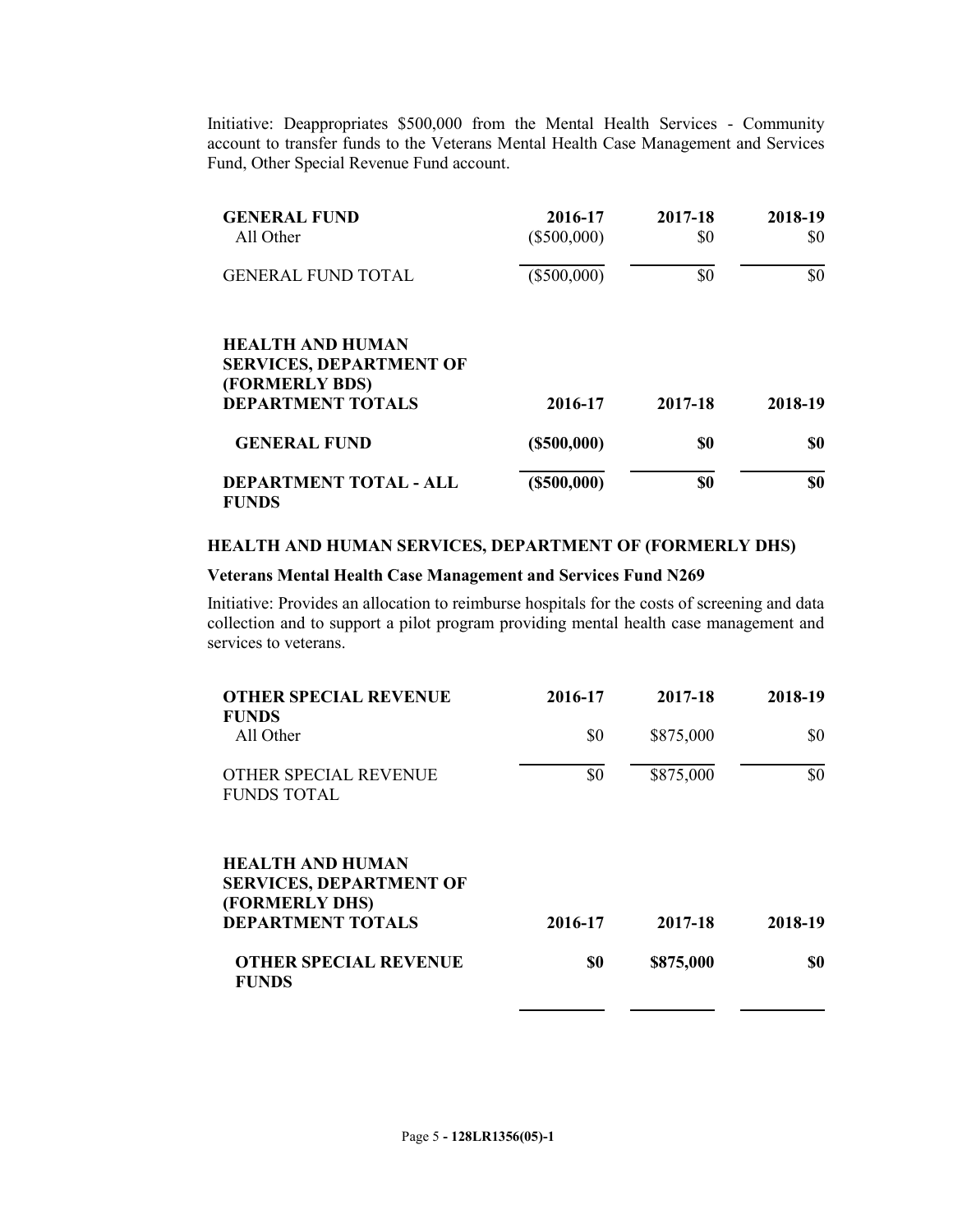Initiative: Deappropriates \$500,000 from the Mental Health Services - Community account to transfer funds to the Veterans Mental Health Case Management and Services Fund, Other Special Revenue Fund account.

| <b>GENERAL FUND</b><br>All Other                                                                        | 2016-17<br>$(\$500,000)$ | 2017-18<br>\$0 | 2018-19<br>\$0 |
|---------------------------------------------------------------------------------------------------------|--------------------------|----------------|----------------|
| <b>GENERAL FUND TOTAL</b>                                                                               | $(\$500,000)$            | \$0            | \$0            |
| <b>HEALTH AND HUMAN</b><br><b>SERVICES, DEPARTMENT OF</b><br>(FORMERLY BDS)<br><b>DEPARTMENT TOTALS</b> | 2016-17                  | 2017-18        | 2018-19        |
| <b>GENERAL FUND</b>                                                                                     | $($ \$500,000)           | \$0            | \$0            |
| <b>DEPARTMENT TOTAL - ALL</b><br><b>FUNDS</b>                                                           | $($ \$500,000)           | \$0            | \$0            |

#### **HEALTH AND HUMAN SERVICES, DEPARTMENT OF (FORMERLY DHS)**

#### **Veterans Mental Health Case Management and Services Fund N269**

Initiative: Provides an allocation to reimburse hospitals for the costs of screening and data collection and to support a pilot program providing mental health case management and services to veterans.

| <b>OTHER SPECIAL REVENUE</b>                                                | 2016-17 | 2017-18   | 2018-19 |
|-----------------------------------------------------------------------------|---------|-----------|---------|
| <b>FUNDS</b>                                                                |         |           |         |
| All Other                                                                   | \$0     | \$875,000 | \$0     |
| OTHER SPECIAL REVENUE<br><b>FUNDS TOTAL</b>                                 | \$0     | \$875,000 | \$0     |
| <b>HEALTH AND HUMAN</b><br><b>SERVICES, DEPARTMENT OF</b><br>(FORMERLY DHS) |         |           |         |
| <b>DEPARTMENT TOTALS</b>                                                    | 2016-17 | 2017-18   | 2018-19 |
| <b>OTHER SPECIAL REVENUE</b><br><b>FUNDS</b>                                | \$0     | \$875,000 | \$0     |